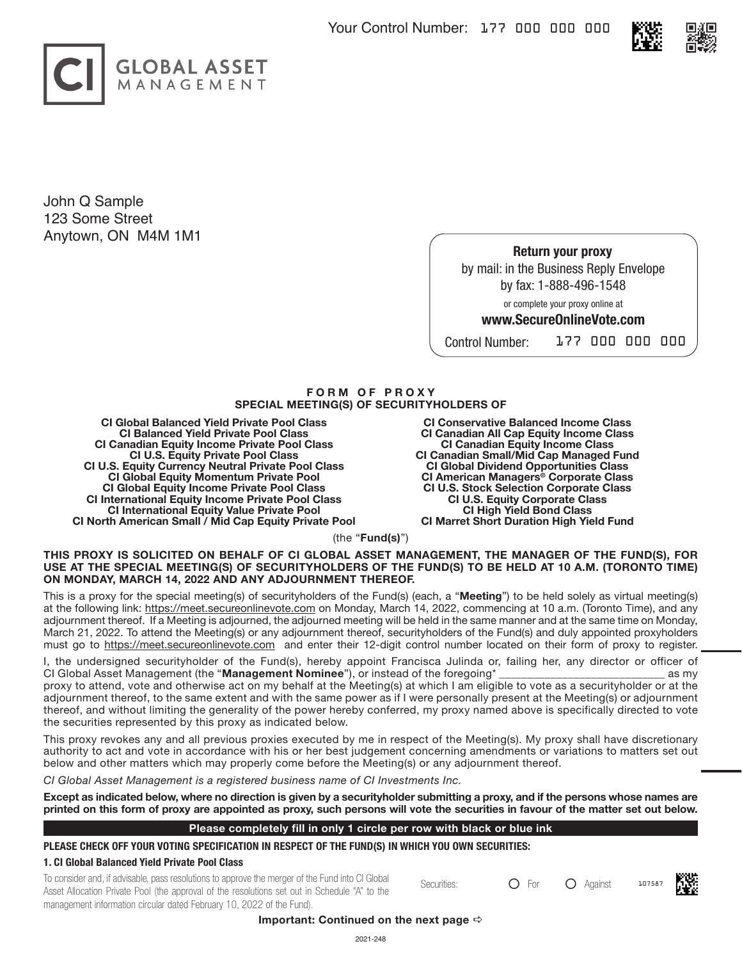



John Q Sample 123 Some Street Anytown, ON M4M 1M1

> **Return your proxy** by mail: in the Business Reply Envelope by fax: 1-888-496-1548

> > or complete your proxy online at

# **www.SecureOnlineVote.com**

Control Number: 177 000 000 000

## **F O R M O F P R O X Y SPECIAL MEETING(S) OF SECURITYHOLDERS OF**

**CI Global Balanced Yield Private Pool Class CI Balanced Yield Private Pool Class CI Canadian Equity Income Private Pool Class CI U.S. Equity Private Pool Class CI U.S. Equity Currency Neutral Private Pool Class CI Global Equity Momentum Private Pool CI Global Equity Income Private Pool Class CI International Equity Income Private Pool Class CI International Equity Value Private Pool CI North American Small / Mid Cap Equity Private Pool**

**CI Conservative Balanced Income Class CI Canadian All Cap Equity Income Class CI Canadian Equity Income Class CI Canadian Small/Mid Cap Managed Fund CI Global Dividend Opportunities Class CI American Managers® Corporate Class CI U.S. Stock Selection Corporate Class CI U.S. Equity Corporate Class CI High Yield Bond Class CI Marret Short Duration High Yield Fund**

(the "**Fund(s)**")

#### **THIS PROXY IS SOLICITED ON BEHALF OF CI GLOBAL ASSET MANAGEMENT, THE MANAGER OF THE FUND(S), FOR USE AT THE SPECIAL MEETING(S) OF SECURITYHOLDERS OF THE FUND(S) TO BE HELD AT 10 A.M. (TORONTO TIME) ON MONDAY, MARCH 14, 2022 AND ANY ADJOURNMENT THEREOF.**

This is a proxy for the special meeting(s) of securityholders of the Fund(s) (each, a "**Meeting**") to be held solely as virtual meeting(s) at the following link: https://meet.secureonlinevote.com on Monday, March 14, 2022, commencing at 10 a.m. (Toronto Time), and any adjournment thereof. If a Meeting is adjourned, the adjourned meeting will be held in the same manner and at the same time on Monday, March 21, 2022. To attend the Meeting(s) or any adjournment thereof, securityholders of the Fund(s) and duly appointed proxyholders must go to https://meet.secureonlinevote.com and enter their 12-digit control number located on their form of proxy to register.

I, the undersigned securityholder of the Fund(s), hereby appoint Francisca Julinda or, failing her, any director or officer of CI Global Asset Management (the "**Management Nominee**"), or instead of the foregoing\* \_\_\_\_\_\_\_\_\_\_\_\_\_\_\_\_\_\_\_\_\_\_\_\_\_\_\_\_\_ as my proxy to attend, vote and otherwise act on my behalf at the Meeting(s) at which I am eligible to vote as a securityholder or at the adjournment thereof, to the same extent and with the same power as if I were personally present at the Meeting(s) or adjournment thereof, and without limiting the generality of the power hereby conferred, my proxy named above is specifically directed to vote the securities represented by this proxy as indicated below.

This proxy revokes any and all previous proxies executed by me in respect of the Meeting(s). My proxy shall have discretionary authority to act and vote in accordance with his or her best judgement concerning amendments or variations to matters set out below and other matters which may properly come before the Meeting(s) or any adjournment thereof.

*CI Global Asset Management is a registered business name of CI Investments Inc.*

**Except as indicated below, where no direction is given by a securityholder submitting a proxy, and if the persons whose names are printed on this form of proxy are appointed as proxy, such persons will vote the securities in favour of the matter set out below.** 

#### **Please completely fill in only 1 circle per row with black or blue ink**

**PLEASE CHECK OFF YOUR VOTING SPECIFICATION IN RESPECT OF THE FUND(S) IN WHICH YOU OWN SECURITIES:**

## **1. CI Global Balanced Yield Private Pool Class**

To consider and, if advisable, pass resolutions to approve the merger of the Fund into CI Global Securities: <br>Securities: <br>Securities: <br> $\bigcirc$  For  $\bigcirc$  Against pass resolutions to approve the merger of the Fund into the Se Asset Allocation Private Pool (the approval of the resolutions set out in Schedule "A" to the management information circular dated February 10, 2022 of the Fund).



Important: Continued on the next page  $\Rightarrow$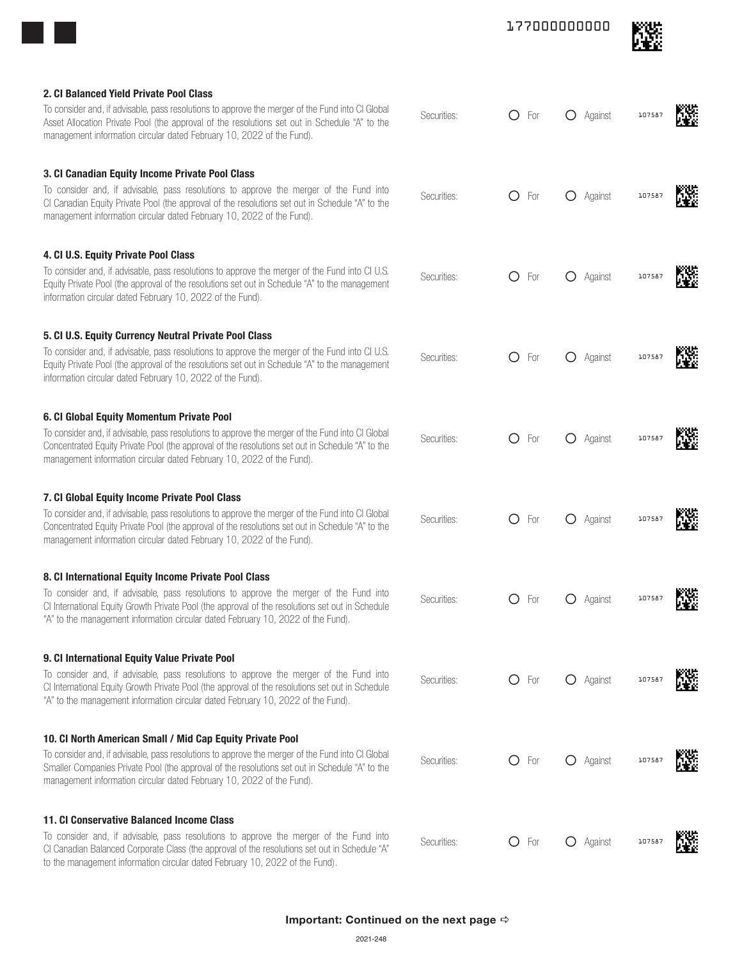|                                                                                                                                                                                                                                                                                |             | 177000000000                                           |                     |
|--------------------------------------------------------------------------------------------------------------------------------------------------------------------------------------------------------------------------------------------------------------------------------|-------------|--------------------------------------------------------|---------------------|
| 2. CI Balanced Yield Private Pool Class                                                                                                                                                                                                                                        |             |                                                        |                     |
| To consider and, if advisable, pass resolutions to approve the merger of the Fund into CI Global<br>Asset Allocation Private Pool (the approval of the resolutions set out in Schedule "A" to the<br>management information circular dated February 10, 2022 of the Fund).     | Securities: | O<br>For                                               | Against<br>107587   |
| 3. CI Canadian Equity Income Private Pool Class                                                                                                                                                                                                                                |             |                                                        |                     |
| To consider and, if advisable, pass resolutions to approve the merger of the Fund into<br>CI Canadian Equity Private Pool (the approval of the resolutions set out in Schedule "A" to the<br>management information circular dated February 10, 2022 of the Fund).             | Securities: | ◯<br>For                                               | Against<br>107587   |
| 4. CI U.S. Equity Private Pool Class                                                                                                                                                                                                                                           |             |                                                        |                     |
| To consider and, if advisable, pass resolutions to approve the merger of the Fund into CI U.S.<br>Equity Private Pool (the approval of the resolutions set out in Schedule "A" to the management<br>information circular dated February 10, 2022 of the Fund).                 | Securities: | O<br>For<br>$\left( \right)$                           | Against<br>107587   |
| 5. CI U.S. Equity Currency Neutral Private Pool Class                                                                                                                                                                                                                          |             |                                                        |                     |
| To consider and, if advisable, pass resolutions to approve the merger of the Fund into CI U.S.<br>Equity Private Pool (the approval of the resolutions set out in Schedule "A" to the management<br>information circular dated February 10, 2022 of the Fund).                 | Securities: | $\left( \right)$<br>For                                | Against<br>107587   |
| 6. CI Global Equity Momentum Private Pool                                                                                                                                                                                                                                      |             |                                                        |                     |
| To consider and, if advisable, pass resolutions to approve the merger of the Fund into CI Global<br>Concentrated Equity Private Pool (the approval of the resolutions set out in Schedule "A" to the<br>management information circular dated February 10, 2022 of the Fund).  | Securities: | Ω<br>For                                               | Against<br>10758    |
| 7. CI Global Equity Income Private Pool Class                                                                                                                                                                                                                                  |             |                                                        |                     |
| To consider and, if advisable, pass resolutions to approve the merger of the Fund into CI Global<br>Concentrated Equity Private Pool (the approval of the resolutions set out in Schedule "A" to the<br>management information circular dated February 10, 2022 of the Fund).  | Securities: | $\left( \begin{array}{c} 1 \end{array} \right)$<br>For | Against<br>107587   |
| 8. CI International Equity Income Private Pool Class                                                                                                                                                                                                                           |             |                                                        |                     |
| To consider and, if advisable, pass resolutions to approve the merger of the Fund into<br>CI International Equity Growth Private Pool (the approval of the resolutions set out in Schedule<br>"A" to the management information circular dated February 10, 2022 of the Fund). | Securities: | ( )<br>For                                             | O Against<br>107587 |
| 9. CI International Equity Value Private Pool                                                                                                                                                                                                                                  |             |                                                        |                     |
| To consider and, if advisable, pass resolutions to approve the merger of the Fund into<br>CI International Equity Growth Private Pool (the approval of the resolutions set out in Schedule<br>"A" to the management information circular dated February 10, 2022 of the Fund). | Securities: | O<br>For                                               | O Against<br>10758  |
| 10. CI North American Small / Mid Cap Equity Private Pool                                                                                                                                                                                                                      |             |                                                        |                     |
| To consider and, if advisable, pass resolutions to approve the merger of the Fund into CI Global<br>Smaller Companies Private Pool (the approval of the resolutions set out in Schedule "A" to the<br>management information circular dated February 10, 2022 of the Fund).    | Securities: | $\left( \ \right)$<br>For                              | O Against<br>107587 |
| 11. CI Conservative Balanced Income Class                                                                                                                                                                                                                                      |             |                                                        |                     |
| To consider and, if advisable, pass resolutions to approve the merger of the Fund into<br>CI Canadian Balanced Corporate Class (the approval of the resolutions set out in Schedule "A"<br>to the management information circular dated February 10, 2022 of the Fund).        | Securities: | ( )<br>For                                             | Against<br>10758    |
|                                                                                                                                                                                                                                                                                |             |                                                        |                     |
| Important: Continued on the next page $\Rightarrow$                                                                                                                                                                                                                            |             |                                                        |                     |
| 2021-248                                                                                                                                                                                                                                                                       |             |                                                        |                     |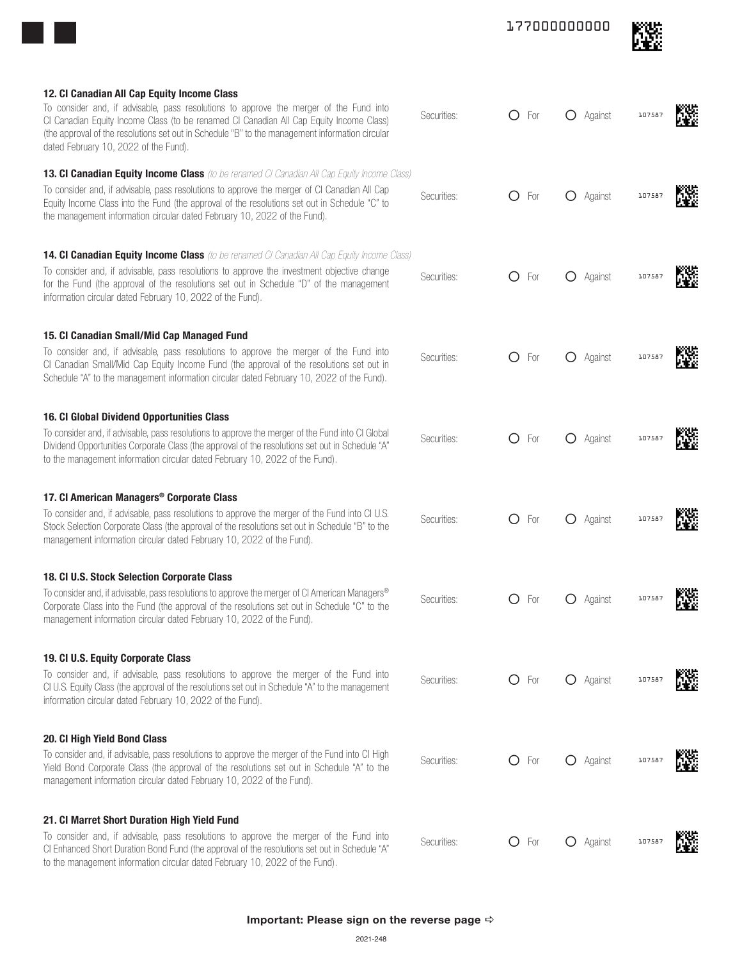| 12. Cl Canadian All Cap Equity Income Class<br>To consider and, if advisable, pass resolutions to approve the merger of the Fund into<br>CI Canadian Equity Income Class (to be renamed CI Canadian All Cap Equity Income Class)<br>(the approval of the resolutions set out in Schedule "B" to the management information circular<br>dated February 10, 2022 of the Fund).     | Securities: |   | $O$ For | O Against        | 107587 | 礯     |
|----------------------------------------------------------------------------------------------------------------------------------------------------------------------------------------------------------------------------------------------------------------------------------------------------------------------------------------------------------------------------------|-------------|---|---------|------------------|--------|-------|
| <b>13. Cl Canadian Equity Income Class</b> (to be renamed Cl Canadian All Cap Equity Income Class)<br>To consider and, if advisable, pass resolutions to approve the merger of CI Canadian All Cap<br>Equity Income Class into the Fund (the approval of the resolutions set out in Schedule "C" to<br>the management information circular dated February 10, 2022 of the Fund). | Securities: | O | For     | Against          | 107587 | W.    |
| <b>14. CI Canadian Equity Income Class</b> (to be renamed CI Canadian All Cap Equity Income Class)<br>To consider and, if advisable, pass resolutions to approve the investment objective change<br>for the Fund (the approval of the resolutions set out in Schedule "D" of the management<br>information circular dated February 10, 2022 of the Fund).                        | Securities: | O | For     | Against          | 107587 | 燃     |
| 15. Cl Canadian Small/Mid Cap Managed Fund<br>To consider and, if advisable, pass resolutions to approve the merger of the Fund into<br>CI Canadian Small/Mid Cap Equity Income Fund (the approval of the resolutions set out in<br>Schedule "A" to the management information circular dated February 10, 2022 of the Fund).                                                    | Securities: | O | For     | Against          | 10758  |       |
| 16. CI Global Dividend Opportunities Class<br>To consider and, if advisable, pass resolutions to approve the merger of the Fund into CI Global<br>Dividend Opportunities Corporate Class (the approval of the resolutions set out in Schedule "A"<br>to the management information circular dated February 10, 2022 of the Fund).                                                | Securities: | O | For     | Against          | 10758  | N.    |
| 17. CI American Managers <sup>®</sup> Corporate Class<br>To consider and, if advisable, pass resolutions to approve the merger of the Fund into CI U.S.<br>Stock Selection Corporate Class (the approval of the resolutions set out in Schedule "B" to the<br>management information circular dated February 10, 2022 of the Fund).                                              | Securities: | Ő | For     | Against          | 10758  | X.    |
| 18. CI U.S. Stock Selection Corporate Class<br>To consider and, if advisable, pass resolutions to approve the merger of CI American Managers®<br>Corporate Class into the Fund (the approval of the resolutions set out in Schedule "C" to the<br>management information circular dated February 10, 2022 of the Fund).                                                          | Securities: | O | For     | O Against        | 107587 | rome. |
| 19. Cl U.S. Equity Corporate Class<br>To consider and, if advisable, pass resolutions to approve the merger of the Fund into<br>CI U.S. Equity Class (the approval of the resolutions set out in Schedule "A" to the management<br>information circular dated February 10, 2022 of the Fund).                                                                                    | Securities: |   | $O$ For | O Against        | 107587 | Ñ.    |
| 20. Cl High Yield Bond Class<br>To consider and, if advisable, pass resolutions to approve the merger of the Fund into CI High<br>Yield Bond Corporate Class (the approval of the resolutions set out in Schedule "A" to the<br>management information circular dated February 10, 2022 of the Fund).                                                                            | Securities: |   | $O$ For | <b>O</b> Against | 10758  | Ñ.    |
| 21. CI Marret Short Duration High Yield Fund<br>To consider and, if advisable, pass resolutions to approve the merger of the Fund into<br>CI Enhanced Short Duration Bond Fund (the approval of the resolutions set out in Schedule "A"<br>to the management information circular dated February 10, 2022 of the Fund).                                                          | Securities: |   | $O$ For | O Against        | 10758  | W.    |
| Important: Please sign on the reverse page $\Leftrightarrow$<br>2021-248                                                                                                                                                                                                                                                                                                         |             |   |         |                  |        |       |

177000000000

飂